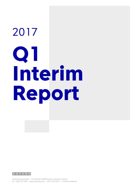# 2017 **Q1 Interim Report**

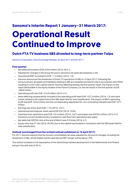## **Sanoma's Interim Report 1 January–31 March 2017: Operational Result**

# **Continued to Improve**

## **Dutch FTA TV business SBS divested to long-term partner Talpa**

Sanoma Corporation, Stock Exchange Release, 26 April 2017 at 8:30 CET+1

#### **First quarter**

- Net sales amounted to EUR 343.8 million (2016: 353.1).
- Adjusted for changes in the Group structure, Sanoma's net sales decreased by 2.4%.
- Operational EBIT increased to EUR 11.4 million (2016: 1.9).
- Sanoma announced the divestment of Dutch TV operations of SBS on 10 April 2017. Following the announcement, all assets and liabilities relating to SBS are classified as held for sale in accordance with IFRS5 resulting in a non-cash capital loss for Sanoma affecting already the first quarter result. The impact on the result attributable to the equity holders of the Parent Company (i.e. the net result) in the first quarter is EUR -286.8 million.
- Operating profit was EUR -415.9 million (2016: 3.1).
- Items affecting comparability included in the operating profit were EUR -427.3 million (2016: 1.2) and were mainly related to the capital loss of the SBS asset held for sale classification. The impact of SBS in operating profit was EUR -424.6 million and the corresponding adjustment for non-controlling interests was EUR 137.7 million.
- Earnings per share were EUR -1.76 (2016: -0.01).
- Operational earnings per share were EUR 0.02 (2016: -0.04).
- Cash flow from operations was EUR -42.4 million (2016: -56.7) and capex was EUR 8.4 million (2016: 5.7). Sanoma's current dividend policy is based on cash flow from operations less capex.
- Net debt/adj. EBITDA ratio at the end of March was 3.5 times (2016: 4.7).
- Equity ratio was 27.4% (2016: 39.3%) due to the capital loss booked in connection with the SBS asset held for sale classification.

#### **Outlook (unchanged from the revised outlook published on 10 April 2017)**

For 2017, Sanoma expects that the Group's consolidated net sales adjusted for structural changes, including the divestment of SBS, will be stable and the operational EBIT margin will be above 10%.

The outlook is based on the assumption of the advertising markets development in the Netherlands and Finland being in line with that of 2016.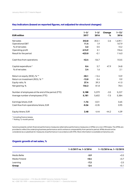| <b>EUR million</b>                                 | $1 - 3/$<br>2017 | $1 - 3/$<br>2016 | Change<br>℅ | $1 - 12/$<br>2016 |
|----------------------------------------------------|------------------|------------------|-------------|-------------------|
| Net sales                                          | 343.8            | 353.1            | $-2.6$      | 1,639.1           |
| <b>Operational EBIT</b>                            | 11.4             | 1.9              |             | 167.9             |
| % of net sales                                     | 3.3              | 0.5              |             | 10.2              |
| Operating profit                                   | $-415.9$         | 3.1              |             | 196.6             |
| Result for the period                              | $-423.0$         | $-0.1$           |             | 116.0             |
| Cash flow from operations                          | $-42.4$          | $-56.7$          |             | 153.5             |
| Capital expenditure *                              | 8.4              | 5.7              | 47.9        | 34.8              |
| % of net sales                                     | 2.4              | 1.6              |             | 2.1               |
| Return on equity (ROE), % **                       | $-30.1$          | $-13.4$          |             | 10.9              |
| Return on investment (ROI), % **                   | $-12.0$          | $-5.4$           |             | 9.9               |
| Equity ratio, %                                    | 27.4             | 39.3             |             | 41.0              |
| Net gearing, %                                     | 156.2            | 81.8             |             | 78.4              |
| Number of employees at the end of the period (FTE) | 5,188            | 5,379            | $-3.5$      | 5,227             |
| Average number of employees (FTE)                  | 5,181            | 5,602            | $-7.5$      | 5,384             |
| Earnings/share, EUR                                | $-1.76$          | $-0.01$          |             | 0.65              |
| Cash flow from operations/share, EUR               | $-0.26$          | $-0.35$          |             | 0.95              |
| Equity/share, EUR                                  | 2.48             | 4.44             | $-44.2$     | 4.39              |

#### **Key indicators (based on reported figures, not adjusted for structural changes)**

\* Including finance leases.

\*\* Rolling 12-month period.

Sanoma presents certain financial performance measures (alternative performance measures or APMs) on a non-IFRS basis. The APMs are provided to reflect the underlying business performance and to enhance comparability from period to period. APMs should not be considered as a substitute for measures of performance in accordance with IFRS. More information is available at Sanoma.com.

#### **Organic growth of net sales, %**

|               | $1 - 3/2017$ vs. $1 - 3/2016$ | 1-12/2016 vs. 1-12/2015 |
|---------------|-------------------------------|-------------------------|
| Media BeNe    | $-3.9$                        | $+0.5$                  |
| Media Finland | $+0.4$                        | $+0.7$                  |
| Learning      | $-7.2$                        | $-2.5$                  |
| Group         | $-2.4$                        | $+0.1$                  |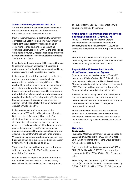#### **Susan Duinhoven, President and CEO**

"The improvements in Sanoma's profit continued in the first quarter of the year. Our operational EBIT improved to EUR 11.4 million (2016: 1.9).

Most of the improvement in profitability came from our Media business in Finland. The result improved due to continuous cost innovations and one-off corrections related to changes in accounting estimates. Sales were stable with TV and online sales developing favourably. Media Finland also improved its market share in the Finnish advertising market to 28.6 % (2016: 27.3%)

In Media BeNe the operational EBIT improved thanks to cost innovations, in particular in the print and online portfolio. The Dutch TV market continued to be under pressure, which impacted SBS results.

In the seasonally small first quarter in Learning, the top line came in somewhat lower than in the comparable period due to timing differences. The profitability was impacted by lower sales and higher depreciation and amortisation related to earlier investments as well as costs related to creating new methods for the Polish market currently undergoing an educational reform. The integration of De Boeck in Belgium increased the seasonal loss of the first quarter. The full year effect of this highly synergetic acquisition will be positive.

In the beginning of April, we announced the divestment of SBS, which will mark our exit from the Dutch free-to-air TV market. It is a result of our strategic review: we have decided to focus on strongholds, businesses where we have – or can achieve – a leading market position. Leading brands give us the opportunity to offer our customers a unique combination of both reach and targeting and allow us to benefit from the scale of our operations. We continue to pursue opportunities in our Learning business, as well as in our cross-media businesses in Finland, the Netherlands and Belgium.

The transaction resulted in a non-cash capital loss with a net impact of EUR -286.8 million on our net result in the first quarter.

Due to the reduced exposure to the uncertainties of the Dutch TV business and the continued strong results in our Finnish media business, we improved

our outlook for the year 2017 in connection with announcing the SBS divestment."

#### **Group outlook (unchanged from the revised outlook published on 10 April 2017)**

For 2017, Sanoma expects that the Group's consolidated net sales adjusted for structural changes, including the divestment of SBS, will be stable and the operational EBIT margin will be above 10%.

The outlook is based on the assumption of the advertising markets development in the Netherlands and Finland being in line with that of 2016.

#### **Impact of the SBS asset held for sale classification in reported figures**

Sanoma announced the divestment of Dutch TV operations of SBS on 10 April 2017. Following the announcement, all assets and liabilities relating to SBS are classified as held for sale in accordance with IFRS5. This resulted in a non-cash capital loss for Sanoma affecting already first quarter result.

However, until the closing of the transaction, SBS is consolidated in Sanoma's income statement. In accordance with the requirements of IFRS5, the noncurrent asset held for sale will no longer be depreciated/amortised.

The divestment is expected to close in the third quarter of 2017. Therefore Sanoma estimates to consolidate the result of SBS only in the first half of 2017, which typically is a seasonally weaker half of the year.

#### **Net sales First quarter**

In January–March, Sanoma's net sales decreased by 2.6% and amounted to EUR 343.8 million (2016: 353.1). Adjusted for changes in the Group structure, net sales decreased by 2.4%.

Non-print sales in media business grew by 2.2% to EUR 139.9 million (2016: 137.0). Non-print sales represented 40.7% (2016: 38.8%) of the Group's net sales.

Advertising sales decreased by 3.2% to EUR 130.0 million (2016: 134.3). Circulation sales decreased by 3.5% to EUR 131.9 million (2016: 136.7) following a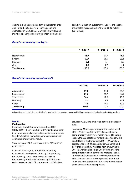decline in single copy sales both in the Netherlands and Finland. Net sales from learning solutions decreased by 3.6% to EUR 31.7 million (2016: 32.9) mainly due change in ordering pattern leading sales to shift from the first quarter of the year to the second. Other sales increased by 2.0% to EUR 50.2 million (2016: 49.3).

#### **Group's net sales by country, %**

|                    | $1 - 3/2017$ | $1 - 3/2016$ | $1 - 12/2016$ |
|--------------------|--------------|--------------|---------------|
| <b>Netherlands</b> | 46.7         | 47.7         | 46.5          |
| Finland            | 42.7         | 41.5         | 38.1          |
| Belgium            | 8.1          | 8.1          | 9.3           |
| Other              | 2.5          | 2.7          | 6.1           |
| <b>Total Group</b> | 100.0        | 100.0        | 100.0         |

#### **Group's net sales by type of sales, %**

|                    | $1 - 3/2017$ | $1 - 3/2016$ | $1 - 12/2016$ |
|--------------------|--------------|--------------|---------------|
| Advertising        | 37.8         | 38.0         | 35.7          |
| Subscription       | 27.7         | 26.9         | 23.1          |
| Single copy        | 10.6         | 11.8         | 10.2          |
| Learning           | 9.2          | 9.3          | 17.2          |
| Other              | 14.6         | 14.0         | 13.8          |
| <b>Total Group</b> | 100.0        | 100.0        | 100.0         |

Other sales mainly include press distribution and marketing services, custom publishing, event marketing, books and printing services.

#### **Result**

#### **First quarter**

In January–March, Sanoma's operational EBIT totalled EUR 11.4 million (2016: 1.9). Continuous cost innovations as well as one-off corrections, amounting to EUR 4.4 million, related to changes in accounting estimates improved the result.

The operational EBIT margin was 3.3% (2016: 0.5%) of net sales.

In the first quarter, the Group's total operating expenses, excluding items affecting comparability, decreased by 6.5%. Like-for-like cost of sales decreased by 7.4% and fixed costs by 5.9%. Paper costs decreased by 5.6%, transport and distribution service by 7.5% and employee benefit expenses by 5.6%.

In January–March, operating profit included net of EUR -427.3 million (2016: 1.2) of items affecting comparability, which were mostly related to capital loss on the SBS asset held for sale classification. This capital loss of the transaction, EUR -424.6 million, corresponds to 100% consolidation. Sanoma held 67% of shares in SBS. A related item amounting to EUR 137.7 million is booked under items affecting comparability in non-controlling interests, the net impact of the transaction in the first quarter being EUR -286.8 million. In the comparable period, the items affecting comparability were related to capital gains and restructuring expenses.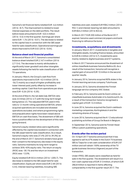Sanoma's net financial items totalled EUR -6.6 million (2016: -8.7). The improvement is related to lower interest expenses on the debt portfolio. The result before taxes amounted to EUR -422.4 million (2016: -5.5) in the first quarter. Earnings per share were EUR -1.76 (2016: -0.01). The decrease is related to the capital loss in connection with the SBS asset held for sale classification. Operational earnings per share improved to EUR 0.02 (2016: -0.04).

#### **Balance sheet and financial position**

At the end of March 2017, Sanoma's consolidated balance sheet totalled EUR 2,167.4 million (2016: 2,713.4). The decrease is mainly attributable to significantly lower goodwill and other intangible assets following the held for sale classification of SBS TV operations.

In January–March, the Group's cash flow from operations improved to EUR -42.4 million (2016: -56.7) mainly as a result of higher profitability and lower interest paid, partly offset by increase in working capital. Cash flow from operations per share was EUR -0.26 (2016: -0.35).

At the end of March, the net debt/adj. EBITDA ratio was 3.5 times (2016: 4.7) with the long-term target being below 2.5. The adjusted EBITDA used in this ratio is 12-month rolling operational EBITDA, where acquired operations are included and divested operations excluded, and where programming rights and prepublication rights have been raised above EBITDA on cash flow basis. The divestment of SBS will have a positive effect on the development of this ratio going forward.

Sanoma's equity related ratios were significantly affected by the capital loss booked in connection with the SBS asset held for sale classification. As a result, Sanoma's equity ratio was 27.4% (2016: 39.3%) at the end of March 2017. Sanoma's lenders have given their consent to the temporary decrease in the equity ratio. Sanoma maintains its long-term target to achieve 35%-45% equity ratio. The return on equity (ROE) was –30.1% and the return on investment (ROI) was -12.0%.

Equity totalled EUR 553.4 million (2016: 1,005.7). The decrease is related to the SBS asset held for sale classification. Equity per share was EUR 2.48 (2016: 4.44). Interest-bearing liabilities, including SBS

liabilities and cash, totalled EUR 908.2 million (2016: 902.1) and interest-bearing net debt amounted to EUR 864.2 million (2016: 822.6).

In March 2017 EUR 200 million of the Bond 2017 expired. Sanoma used commercial papers and bank financing to refinance the bond.

#### **Investments, acquisitions and divestments**

In January-March 2017, investments in tangible and intangible assets, including finance leases, amounted to EUR 8.4 million (2016: 5.7). Investments were mainly related to digital business and ICT systems.

In March 2017 Sanoma announced the divestment of online classifieds business Sanoma Baltics AS. As a result of the transaction, Sanoma will recognize a capital gain of around EUR 10 million in the second quarter results.

In January 2016, Sanoma acquired 80% stake in the Finnish learning services company Tutorhouse.

In January 2016, Sanoma divested the Finnish language service company AAC Global.

In February 2016, Sanoma sold its Dutch online car classifieds business Autotrader.nl to AutoScout24. As a result of the transaction Sanoma recognised a capital gain of EUR 13.3 million.

In June 2016, Sanoma acquired the Dutch cashback marketing companies, Kortingisleuk.nl and the remaining shares of Scoupy.

In June 2016, Sanoma acquired the K-12 educational publishing activities of Group De Boeck in Belgium.

In September 2016, Sanoma sold its Finnish Head Office custom publishing operations.

#### **Events after the review period**

On 10 April 2017 Sanoma announced that it has agreed to sell its 67% stake in the Dutch TV business SBS to Talpa for a net cash consideration of EUR 237 million and will obtain 100% ownership of the TV guide business Veronica Uitgeverij as part of the transaction.

Under IFRS5, SBS assets were classified as held for sale in the first quarter. The divestment will result in a non-cash capital loss of EUR 313 million, of which EUR 286.8 million is reported in items affecting comparability in the first quarter result 2017. The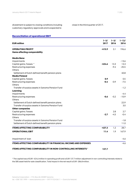divestment is subject to closing conditions including customary regulatory approvals and is expected to

close in the third quarter of 2017.

#### **Reconciliation of operational EBIT**

| <b>EUR million</b>                                                    | $1 - 3/$<br>2017 | $1 - 3/$<br>2016 | $1 - 12/$<br>2016 |
|-----------------------------------------------------------------------|------------------|------------------|-------------------|
| <b>OPERATING PROFIT</b>                                               | $-415.9$         | 3.1              | 196.6             |
| Items affecting comparability                                         |                  |                  |                   |
| <b>Media Bene</b>                                                     |                  |                  |                   |
| Impairments                                                           |                  |                  | $-13.6$           |
| Capital gains / losses *                                              | $-424.6$         | 13.3             | 13.3              |
| Restructuring expenses                                                |                  | $-9.4$           | $-25.5$           |
| <b>Others</b>                                                         |                  |                  |                   |
| Settlement of Dutch defined benefit pension plans                     |                  |                  | 40.8              |
| <b>Media Finland</b>                                                  |                  |                  |                   |
| Capital gains /losses                                                 | 0.9              |                  | 0.5               |
| Restructuring expenses                                                | $-0.4$           | $-0.9$           | $-7.5$            |
| Others                                                                |                  |                  |                   |
| Transfer of surplus assets in Sanoma Pension Fund                     |                  |                  | $-1.2$            |
| Learning                                                              |                  |                  |                   |
| Impairments                                                           |                  |                  | $-4.4$            |
| Restructuring expenses                                                | $-0.6$           | $-0.2$           | $-10.9$           |
| Others                                                                |                  |                  |                   |
| Settlement of Dutch defined benefit pension plans                     |                  |                  | 22.9              |
| Transfer of surplus assets in Sanoma Pension Fund                     |                  |                  | 3.0               |
| <b>Other companies</b>                                                |                  |                  |                   |
| Capital gains/losses                                                  |                  | 2.8              | 2.7               |
| Restructuring expenses                                                | $-2.7$           | $-4.5$           | $-0.4$            |
| Others                                                                |                  |                  |                   |
| Transfer of surplus assets in Sanoma Pension Fund                     |                  |                  | $-1.8$            |
| Settlement of Dutch defined benefit pension plans                     |                  |                  | 11.0              |
| <b>ITEMS AFFECTING COMPARABILITY</b>                                  | $-427.3$         | 1.2              | 28.7              |
| <b>OPERATIONAL EBIT</b>                                               | 11.4             | 1.9              | 167.9             |
| Impairment of loan                                                    |                  |                  | -4.6              |
| <b>ITEMS AFFECTING COMPARABILITY IN FINANCIAL INCOME AND EXPENSES</b> |                  |                  | $-4.6$            |
| ITEMS AFFECTING COMPARABILITY IN NON-CONTROLLING INTERESTS *          | 137.7            |                  |                   |

\* The capital loss of EUR -424.6 million in operating profit and a EUR 137.7 million adjustment in non-controlling interests relate to the SBS asset held for sale classification. Total impact in the net result is EUR -286.8 million.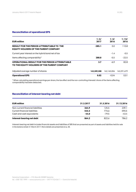#### **Reconciliation of operational EPS**

| <b>EUR million</b>                                                                                   | $1 - 3/$<br>2017 | $1 - 3/$<br>2016 | $1 - 12/$<br>2016 |
|------------------------------------------------------------------------------------------------------|------------------|------------------|-------------------|
| <b>RESULT FOR THE PERIOD ATTRIBUTABLE TO THE</b><br><b>EQUITY HOLDERS OF THE PARENT COMPANY</b>      | $-285.1$         | 0.0              | 110.8             |
| Current year interest on the hybrid bond net of tax                                                  |                  | $-1.4$           | $-5.5$            |
| Items affecting comparability*                                                                       | 288.8            | $-5.5$           | $-22.5$           |
| <b>OPERATIONAL RESULT FOR THE PERIOD ATTRIBUTABLE</b><br>TO THE EQUITY HOLDERS OF THE PARENT COMPANY | 3.7              | $-6.9$           | 82.8              |
| Adjusted average number of shares                                                                    | 162.389.388      | 162.165.006      | 162.291.679       |
| <b>Operational EPS</b>                                                                               | 0.02             | $-0.04$          | 0.51              |

\* When calculating operational earnings per share, the tax effect and the non-controlling interests' share of the items affecting comparability has been deducted.

#### **Reconciliation of interest-bearing net debt**

| <b>EUR million</b>                | 31.3.2017 | 31.3.2016 | 31.12.2016 |
|-----------------------------------|-----------|-----------|------------|
| Non-current financial liabilities | 364.9     | 125.5     | 239.1      |
| Current financial liabilities     | 543.3     | 776.6     | 590.5      |
| Cash and cash equivalents         | $-44.0$   | $-79.5$   | -43.4      |
| Interest-bearing net debt         | 864.2     | 822.6     | 786.2      |

Interest-bearing net debt includes financial assets and liabilities of SBS that are presented as part of assets and liabilities held for sale in the balance sheet 31 March 2017. More details are presented on p. 28.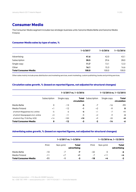## **Consumer Media**

The Consumer Media segment includes two strategic business units: Sanoma Media BeNe and Sanoma Media Finland.

#### **Consumer Media sales by type of sales, %**

|                             | $1 - 3/2017$ | $1 - 3/2016$ | $1 - 12/2016$ |
|-----------------------------|--------------|--------------|---------------|
| Advertising                 | 41.6         | 42.0         | 43.1          |
| Subscription                | 30.5         | 29.6         | 28.0          |
| Single copy                 | 11.7         | 13.1         | 12.3          |
| Other                       | 16.1         | 15.3         | 16.6          |
| <b>Total Consumer Media</b> | 100.0        | 100.0        | 100.0         |

Other sales mainly include press distribution and marketing services, event marketing, custom publishing, books and printing services.

#### **Circulation sales growth, % (based on reported figures, not adjusted for structural changes)**

|                                  |              |             | $1 - 3/2017$ vs. $1 - 3/2016$ |              | 1-12/2016 vs. 1-12/2015 |                      |
|----------------------------------|--------------|-------------|-------------------------------|--------------|-------------------------|----------------------|
|                                  | Subscription | Single copy | Total<br>circulation          | Subscription | Single copy             | Total<br>circulation |
| Media BeNe                       | 0            | $-13$       | -5                            | -7           | $-16$                   | -11                  |
| Media Finland                    | $+$ ]        | $-12$       | -1                            | $+2$         | -9                      | $\mathbf 0$          |
| of which Magazines incl. online  | $-5$         | -6          | -5                            | $+1$         | $-7$                    | $+1$                 |
| of which Newspapers incl. online | $+3$         | $-11$       | -1                            | $+2$         | $-9$                    | $-2$                 |
| of which Pay-TV & Pay-VOD        | $+14$        | $-100$      | $+10$                         | $+9$         | $-20$                   | +8                   |
| <b>Total Consumer Media</b>      | 0            | $-12$       | -3                            | -2           | $-14$                   | -6                   |

#### **Advertising sales growth, % (based on reported figures, not adjusted for structural changes)**

|                             |       |           | $1 - 3/2017$ vs. $1 - 3/2016$ |       |           | 1-12/2016 vs. 1-12/2015     |
|-----------------------------|-------|-----------|-------------------------------|-------|-----------|-----------------------------|
|                             | Print | Non-print | Total<br>advertising          | Print | Non-print | <b>Total</b><br>advertising |
| Media BeNe                  | $-10$ | -7        | -7                            | -32   | 0         | -6                          |
| Media Finland               | -11   | $+7$      | $+1$                          | -7    | $+11$     | $+4$                        |
| <b>Total Consumer Media</b> | -11   | -1        | -3                            | $-18$ | $+4$      | $-2$                        |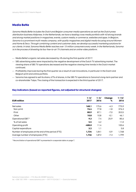#### **Media BeNe**

Sanoma Media BeNe includes the Dutch and Belgian consumer media operations as well as the Dutch press distribution business Aldipress. In the Netherlands, we have a leading cross media portfolio with 40 strong brands and strong market positions in magazines, events, custom media, e-commerce, websites and apps. In Belgium, Sanoma is a prominent multi-media company, with quality magazines and digital media focusing around Women and Home & Deco. Through combining content and customer data, we develop successful marketing solutions for our clients. In total, Sanoma Media BeNe reaches over 15 million consumers every week. In the Netherlands, Sanoma is in the process of divesting its four free-to-air TV channels and an online video platform.

- Media BeNe's organic net sales decreased by 4% during the first quarter of 2017.
- $-$  SBS advertising sales were impacted by the negative development of the Dutch TV advertising market. The viewing share of SBS TV operations decreased and the negative viewing time trends in the Dutch market continued.
- Profitability improved during the first quarter as a result of cost innovations, in particular in the Dutch and Belgium print and online portfolio.
- $-$  Sanoma has agreed to sell its share, 67% of shares, in the SBS TV operations to Sanoma's long-term partner and co-shareholder Talpa. The closing of the transaction is expected in the third quarter of 2017.

| <b>EUR million</b>                                 | $1 - 3/$<br>2017 | $1 - 3/$<br>2016 | Change<br>℅ | $1 - 12/$<br>2016 |
|----------------------------------------------------|------------------|------------------|-------------|-------------------|
| Net sales                                          | 168.1            | 175.6            | $-4.3$      | 775.9             |
| Non-print                                          | 76.4             | 77.8             | $-1.8$      | 376.3             |
| Print                                              | 80.9             | 87.1             | $-7.0$      | 353.5             |
| Other                                              | 10.8             | 10.8             | $-0,1$      | 46.1              |
| Operational EBIT *                                 | 9.3              | 7.4              | 25.9        | 85.6              |
| % of net sales                                     | 5.5              | 4.2              |             | 11.0              |
| Operating profit                                   | $-408.0$         | 11.4             |             | 100.6             |
| Capital expenditure                                | 3.2              | 1.1              |             | 5.8               |
| Number of employees at the end of the period (FTE) | 1,734            | 1,841            | $-5.9$      | 1,768             |
| Average number of employees (FTE)                  | 1,736            | 1,872            | $-7.3$      | 1,799             |

#### **Key indicators (based on reported figures, not adjusted for structural changes)**

\* Reconciliation of operational EBIT is presented in a separate table on page 7.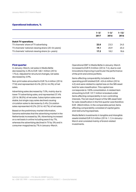#### **Operational indicators, %**

|                                                   | $1 - 3/$ | $1 - 3/$ | 1–12/ |
|---------------------------------------------------|----------|----------|-------|
|                                                   | 2017     | 2016     | 2016  |
| <b>Dutch TV operations</b>                        |          |          |       |
| TV channels' share of TV advertising              | 23.0     | 23.3     | 24.5  |
| TV channels' national viewing share (20-54 years) | 19.1     | 20.9     | 20.3  |
| TV channels' national viewing share (6+ years)    | 17.2     | 18.2     | 18.6  |

#### **First quarter**

In January–March, net sales in Media BeNe decreased by 4.3% to EUR 168.1 million (2016: 175.6). Adjusted for structural changes, net sales decreased by 3.9%.

Non-print sales amounted to EUR 76.4 million (2016: 77.8) and represented 45.4% (2016: 44.3%) of net sales.

Advertising sales decreased by 7.0%, mainly due to lower TV advertising sales, and represented 37.4% (2016: 38.5%) of net sales. Subscription sales were stable, but single copy sales declined causing circulation sales to decrease by 5.4%, Circulation sales represented 40.2% (2016: 40.7%) of net sales.

Based on the preliminary market information, Sanoma estimates that the advertising market in the Netherlands increased by 3%. Advertising increased on a net basis in online including search by 7%, whereas the advertising declined in TV by 3% and in consumer magazines by 7% in January–March.

Operational EBIT in Media BeNe in January–March increased to EUR 9.3 million (2016: 7.4), due to cost innovations improving in particular the performance of the print and online portfolio.

Items affecting comparability included in the operating profit totalled EUR -424.6 million (2016: 4.0) and were related to capital loss on the SBS asset held for sale classification. This capital loss corresponds to 100% consolidation. A related item amounting to EUR 137.7 million is booked under items affecting comparability in non-controlling interests. The net result impact of the SBS asset held for sale classification in the first quarter was therefore EUR -286.8 million. In the comparable period, items affecting comparability consisted of capital gains and restructuring expenses.

Media BeNe's investments in tangible and intangible assets totalled EUR 3.2 million (2016: 1.1) in January– March and consisted mainly of brand-related investments.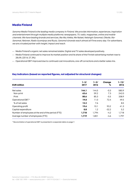#### **Media Finland**

Sanoma Media Finland is the leading media company in Finland. We provide information, experiences, inspiration and entertainment through multiple media platforms: newspapers, TV, radio, magazines, online and mobile channels. We have leading brands and services, like Aku Ankka, Me Naiset, Helsingin Sanomat, Oikotie, Ilta-Sanomat, Nelonen, Radio Suomipop and Ruutu. Sanoma's brands reach almost all Finns every day. For advertisers, we are a trusted partner with insight, impact and reach.

- Media Finland's organic net sales remained stable. Digital and TV sales developed positively.
- Media Finland continued to improve its market position and its share of the Finnish advertising market rose to 28.6% (2016: 27.3%)
- Operational EBIT improved due to continued cost innovations, one-off corrections and a better sales mix.

#### **Key indicators (based on reported figures, not adjusted for structural changes)**

| <b>EUR million</b>                                 | $1 - 3/$<br>2017 | $1 - 3/$<br>2016 | Change<br>% | $1 - 12/$<br>2016 |
|----------------------------------------------------|------------------|------------------|-------------|-------------------|
| Net sales                                          | 144.1            | 144.5            | $-0.3$      | 580.9             |
| Non-print                                          | 63.6             | 59.2             | 7.3         | 242.0             |
| Print                                              | 80.6             | 85.3             | $-5.5$      | 338.9             |
| Operational EBIT *                                 | 19.0             | 11.0             | 72.4        | 49.5              |
| % of net sales                                     | 13.2             | 7.6              |             | 8.5               |
| Operating profit                                   | 19.6             | 10.1             | 93.2        | 41.3              |
| Capital expenditure                                | 0.8              | 1.2              | $-32.2$     | 5.2               |
| Number of employees at the end of the period (FTE) | 1,718            | 1.794            | $-4.2$      | 1.718             |
| Average number of employees (FTE)                  | 1,719            | 1,801            | -4.6        | 1.797             |

\* Reconciliation of operational EBIT is presented in a separate table on page 7.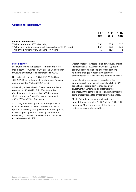#### **Operational indicators, %**

|                                                              | $1 - 3/$<br>2017 | $1 - 3/$<br>2016 | 1–12/<br>2016 |
|--------------------------------------------------------------|------------------|------------------|---------------|
| <b>Finnish TV operations</b>                                 |                  |                  |               |
| TV channels' share of TV advertising                         | 38.2             | 35.9             | 35.3          |
| TV channels' national commercial viewing share (10-44 years) | 36.1             | 37.4             | 36.9          |
| TV channels' national viewing share (10+ years)              | 15.7             | 16.9             | 16.6          |

#### **First quarter**

In January–March, net sales in Media Finland were stable at EUR 144.1 million (2016: 144.5). Adjusted for structural changes, net sales increased by 0.4%.

Non-print sales grew by 7.3% to EUR 63.6 million (2016: 59.2), driven by growth in digital and TV sales and represented 44.1% (2016: 41.0%)

Advertising sales for Media Finland were stable and represented 46.6% (2016: 46.2%) of net sales. Circulation sales decreased by 1.4% due to lower single copy sales. Circulation sales represented 44.7% (2016: 45.2%) of net sales.

According to TNS Gallup, the advertising market in Finland decreased on a net basis by 5% in the first quarter. Advertising in magazines decreased by 11%, in newspapers by 14% and in TV by 6%, whereas advertising on radio increased by 4% and in online excluding search by 7%.

Operational EBIT in Media Finland in January–March increased to EUR 19.0 million (2016: 11.0) due to continued cost innovations, one-off corrections related to changes in accounting estimates , amounting to EUR 4.4 million, and a better sales mix.

Items affecting comparability included in the operating profit totalled EUR 0.5 million (2016: -0.9) consisting of capital gain related to earlier divestment of Lehtimedia and restructuring expenses. In the comparable period, items affecting comparability consisted of restructuring expenses.

Media Finland's investments in tangible and intangible assets totalled EUR 0.8 million (2016: 1.2) in January–March and were mainly related to maintenance capital expenditure.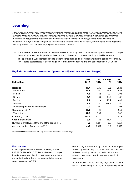## **Learning**

Sanoma Learning is one of Europe's leading learning companies, serving some 10 million students and one million teachers. Through our multi-channel learning solutions we help to engage students in achieving good learning outcomes, and support the effective work of the professional teacher in primary, secondary and vocational education. Through our local companies, we contribute to some of the world's best performing education systems including Finland, the Netherlands, Belgium, Poland and Sweden.

- Net sales decreased somewhat in the seasonally minor first quarter. The decrease is primarily due to changes in ordering pattern leading orders to be executed in the second quarter especially in the Netherlands.
- The operational EBIT decreased due to higher depreciation and amortisation related to earlier investments, lower sales, costs related to developing new learning methods in Poland and consolidation of De Boeck.

|                                                    | $1 - 3/$ | 1–3/    | Change  | 1–12/  |
|----------------------------------------------------|----------|---------|---------|--------|
| <b>EUR million</b>                                 | 2017     | 2016    | %       | 2016   |
| Net sales                                          | 31.7     | 32.9    | $-3.6$  | 282.6  |
| <b>Netherlands</b>                                 | 17.8     | 19.7    | -9.8    | 94.4   |
| Poland                                             | 4.3      | 4.5     | $-3.9$  | 70.8   |
| Finland                                            | 3.7      | 3.2     | 14.7    | 48.1   |
| Belgium                                            | 2.4      | 1.4     | 70.9    | 44.8   |
| Sweden                                             | 3.5      | 4.1     | $-14.2$ | 25.1   |
| Other companies and eliminations                   | 0.0      | $-0.1$  |         | $-0.6$ |
| Operational EBIT*                                  | $-15.0$  | $-10.9$ |         | 56.8   |
| % of net sales                                     | $-47.3$  | $-33.2$ |         | 20.1   |
| Operating profit                                   | $-15.5$  | $-11.1$ |         | 67.4   |
| Capital expenditure                                | 3.3      | 2.8     | 18.7    | 17.7   |
| Number of employees at the end of the period (FTE) | 1,448    | 1,364   | 6.2     | 1,439  |
| Average number of employees (FTE)                  | 1,442    | 1,422   | 1.4     | 1,413  |

#### **Key indicators (based on reported figures, not adjusted for structural changes)**

\* Reconciliation of operational EBIT is presented in a separate table on page 7.

#### **First quarter**

In January–March, net sales decreased by 3.6% to EUR 31.7 million (2016: 32.9) mainly due to changes in ordering pattern affecting the first quarter sales in the Netherlands. Adjusted for structural changes, net sales decreased by 7.2%.

The learning business has, by nature, an annual cycle and strong seasonality. It accrues most of its net sales and results during the second and third quarters, whereas the first and fourth quarters are typically loss-making.

Operational EBIT in the Learning segment decreased to EUR -15.0 million (2016: -10.9). In addition to lower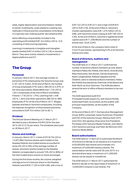sales, higher depreciation and amortisation related to earlier investments, costs related to creating new methods in Poland and the consolidation of De Boeck in a typically loss-making quarter decreased profits.

Items affecting comparability included in the operating profit totalled EUR -0.6 million (2016: -0.2) consisting of restructuring expenses.

Learning's investments in tangible and intangible assets totalled EUR 3.3 million (2016: 2.8) in January– March. They were mainly related to investments in digital platforms and ICT.

## **The Group**

#### **Personnel**

In January–March 2017, the average number of personnel (FTE) employed by the Sanoma Group was 5,181 (2016: 5,602). At the end of March, the number of Group employees (FTE) was 5,188 (2016: 5,379). In full-time equivalents, Media BeNe had 1,734 (2016: 1,841) employees at the end of March and Media Finland 1,718 (2016: 1,794). Learning had 1,448 (2016: 1,364) and other operations 288 (2016: 380) employees (FTE) at the end of March 2017. Wages, salaries and fees to Sanoma's employees, including the expense recognition of share based payments, amounted to EUR 75.5 million (2016: 85.1).

#### **Dividend**

The Annual General Meeting on 21 March 2017 decided to pay a dividend of EUR 0.20 for the year 2016 (2015: 0.10) per share. The dividends were paid on 30 March 2017.

#### **Shares and holdings**

In January–March 2017, a total of 9,918,734 (2016: 13,497,086) Sanoma shares were traded on the Nasdaq Helsinki and traded shares accounted for some 6% (2016: 8%) of the average number of shares. Sanoma's shares traded on the Nasdaq Helsinki corresponded to around 74% (2016: 80%) of the total traded share volume on stock exchanges.

During the first three months, the volume-weighted average price of a Sanoma share on the Nasdaq Helsinki was EUR 8.17 (2016: EUR 4.08), with a low of EUR 7.62 (2016: EUR 3.51) and a high of EUR 8.91 (2016: EUR 4.78). At the end of March, Sanoma's market capitalisation was EUR 1,275 million (2016: 698), with Sanoma's share closing at EUR 7.85 (2016: 4.30). At the end of March, Sanoma's registered share capital was EUR 71,258,986.82 and the number of shares was 162,812,093.

At the end of March, the company held a total of 316,519 own shares, representing 0.2% of all Sanoma shares and votes.

#### **Board of Directors, auditors and management**

The AGM held on 21 March 2017 confirmed the number of Sanoma's Board members as nine. Board members Pekka Ala-Pietilä, Antti Herlin, Anne Brunila, Mika Ihamuotila, Nils Ittonen, Denise Koopmans, Robin Langenskiöld, Rafaela Seppälä and Kai Öistämö, were re-elected as Board members. Pekka Ala-Pietilä was elected as Chairman of the Board and Antti Herlin as Vice Chairman. The AGM decided to amend the term of office of Board members to be one year.

The AGM appointed audit firm

PricewaterhouseCoopers Oy, with Samuli Perälä, Authorised Public Accountant, as the auditor with principal responsibility, as the auditor of the Company.

At the end of March 2017, the Executive Management Group (EMG) comprises: Susan Duinhoven (President and CEO of the Sanoma Group), Markus Holm (CFO and COO), Kim Ignatius (Executive Vice President), Pia Kalsta (CEO Sanoma Media Finland), John Martin (CEO Sanoma Learning) and Peter de Mönnink (CEO Sanoma Media BeNe).

#### **Board authorisations**

The AGM held on 12 April 2016 authorised the Board of Directors to decide on an issuance of a maximum of 50,000,000 new shares and a transfer of a maximum of 5,000,000 treasury shares. The authorisation will be valid until 30 June 2019. In a directed share issue, a maximum of 41,000,000 shares can be issued or transferred.

The AGM held on 21 March 2017 authorised the Board to decide on the repurchase of maximum of 16,000,000 Company's own shares. The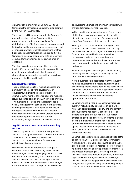authorisation is effective until 30 June 2018 and terminates the corresponding authorisation granted by the AGM on 12 April 2016.

These shares will be purchased with the Company's unrestricted shareholders' equity, and the repurchases will reduce funds available for distribution on profits. The shares will be repurchased to develop the Company's capital structure, carry out or finance potential corporate acquisitions or other business arrangements, to be used as a part of the Company's incentive programme or to be otherwise conveyed further, retained as treasury shares, or cancelled.

The shares can be repurchased either through a tender offer made to all shareholders on equal terms or in other proportion than that of the current shareholders at the market price of the repurchase moment on the Nasdaq Helsinki.

#### **Seasonal fluctuation**

The net sales and results of media businesses are particularly affected by the development of advertising. Advertising sales are influenced, for example, by the number of newspaper and magazine issues published each quarter, which varies annually. TV advertising in Finland and the Netherlands is usually strongest in the second and fourth quarters. Learning accrues most of its net sales and results during the second and third quarters. Seasonal business fluctuations influence the Group's net sales and operating profit, with the first quarter traditionally being clearly the smallest one for both.

#### **Significant near term risks and uncertainty factors**

The most significant risks and uncertainty factors Sanoma currently faces are described in the Financial Statements and on the Group's website at Sanoma.com, together with the Group's main principles of risk management.

Many of the identified risks relate to changes in customer preferences. The driving forces behind these changes are the on-going digitisation process and the decrease of viewing time in free-to-air TV. Sanoma takes actions in all its strategic business units to respond to these challenges. These changes in consumer behaviour create potential risks related to advertising volumes and pricing, in particular with the trend of increasing mobile usage.

With regard to changing customer preferences and digitisation, new entrants might be able to better utilise these changes and therefore gain market share from Sanoma's established businesses.

Privacy and data protection are an integral part of Sanoma's business. Risks related to data security become more relevant as digital business is growing. Sanoma has invested in data security related technologies and runs a group-wide privacy programme to ensure that employees know how to apply data security and privacy practices in their daily work.

Sanoma faces political risks in particular in Poland, where legislative changes can have significant impacts on the learning business.

Normal business risks associated with the industry relate to developments in media advertising and consumer spending. Media advertising is sensitive to economic fluctuations. Therefore, general economic conditions and economic trends in the industry influence Sanoma's business activities and operational performance.

Sanoma's financial risks include interest rate risks, currency risks, liquidity risk and credit risks. Other risks include risks related to equity and impairment of assets. Sanoma has actively issued commercial papers during the first quarter (EUR 526 million outstanding at the end of March). In order to mitigate possible market risks, Sanoma has long-term undrawn committed bank facilities in place as backup facilities for commercial papers. At the end of March, Sanoma had EUR 530 million undrawn committed facilities.

Sanoma's consolidated balance sheet included at the end of March EUR 1.7 billion in goodwill, immaterial rights and other intangible assets, including the SBS assets classified as assets held for sale. Most of this is related to magazine and TV operations. Sanoma is in the process of divesting its Dutch TV operations, which will reduce the amount of goodwill, immaterial rights and other intangible assets to 1.2 billion, of which 0.9 billion will be goodwill. In accordance with IFRS, instead of goodwill being amortised regularly, it is tested for impairment on an annual basis, or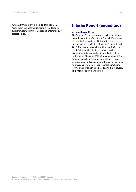whenever there is any indication of impairment. Changes in business fundamentals could lead to further impairment, thus impacting Sanoma's equityrelated ratios.

## **Interim Report (unaudited)**

#### **Accounting policies**

The Sanoma Group has prepared its Interim Report in accordance with IAS 34 'Interim Financial Reporting' while adhering to related IFRS standards and interpretations applicable within the EU on 31 March 2017. The accounting policies of the Interim Report, the definitions of key indicators as well as the explanations of use and definitions of Alternative Performance Measures (APMs) are presented on the Sanoma website at Sanoma.com. All figures have been rounded and consequently the sum of individual figures can deviate from the presented sum figure. Key figures have been calculated using exact figures. This Interim Report is unaudited.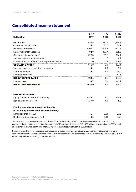## **Consolidated income statement**

|                                                  | $1 - 3/$ | $1 - 3/$ | $1 - 12/$ |
|--------------------------------------------------|----------|----------|-----------|
| <b>EUR million</b>                               | 2017     | 2016     | 2016      |
| <b>NET SALES</b>                                 | 343.8    | 353.1    | 1.639.1   |
| Other operating income                           | 6.2      | 21.8     | 39.9      |
| Materials and services                           | $-103.7$ | $-104.3$ | $-501.1$  |
| Employee benefit expenses                        | $-92.9$  | $-107.4$ | $-325.5$  |
| Other operating expenses *                       | $-499.3$ | $-89.5$  | $-356.1$  |
| Share of results in joint ventures               | 1.0      | 1.0      | 0.1       |
| Depreciation, amortisation and impairment losses | $-71.0$  | $-71.6$  | $-299.7$  |
| <b>OPERATING PROFIT</b>                          | $-415.9$ | 3.1      | 196.6     |
| Share of results in associated companies         | 0.1      | 0.1      | $-2.4$    |
| Financial income                                 | 4.7      | 9.2      | 10.5      |
| Financial expenses                               | $-11.3$  | $-17.9$  | $-47.5$   |
| <b>RESULT BEFORE TAXES</b>                       | $-422.4$ | $-5.5$   | 157.2     |
| Income taxes                                     | $-0.7$   | 5.4      | $-41.2$   |
| <b>RESULT FOR THE PERIOD</b>                     | $-423.0$ | $-0.1$   | 116.0     |
|                                                  |          |          |           |
| <b>Result attributable to:</b>                   |          |          |           |
|                                                  |          |          |           |
| Equity holders of the Parent Company             | $-285.1$ | 0.0      | 110.8     |
| Non-controlling interests*                       | $-137.9$ | $-0.1$   | 5.2       |
| Earnings per share for result attributable       |          |          |           |
| to the equity holders of the Parent Company:     |          |          |           |
| Earnings per share, EUR                          | $-1.76$  | $-0.01$  | 0.65      |
| Diluted earnings per share, EUR                  | $-1.76$  | $-0.01$  | 0.65      |

\* Other operating expenses include capital loss of EUR -424.6 million related to the SBS assets held for sale classification, corresponding to 100% consolidation. Sanoma holds 67% of shares in SBS and EUR 137.7 million corresponding the 33% minority share is included in non-controlling interest. Impact on the net result is thus EUR -286.8 million.

In connection with a reporting system change, Sanoma has adapted a new method for currency translation, changing from cumulative translation to periodic translation. Due to this, there are some minor changes in the historical figures. All figures in this report are presented according to the new method.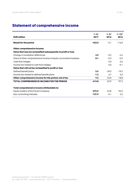## **Statement of comprehensive income**

| <b>EUR million</b>                                                | $1 - 3/$<br>2017 | $1 - 3/$<br>2016 | $1 - 12/$<br>2016 |
|-------------------------------------------------------------------|------------------|------------------|-------------------|
| <b>Result for the period</b>                                      | $-423.0$         | $-0.1$           | 116.0             |
| Other comprehensive income:                                       |                  |                  |                   |
| Items that may be reclassified subsequently to profit or loss     |                  |                  |                   |
| Change in translation differences                                 | 4.9              | $-0.2$           | $-4.5$            |
| Share of other comprehensive income of equity-accounted investees | 0.1              | $-0.3$           | $-0.3$            |
| Cash flow hedges                                                  |                  | 0.0              | 0.6               |
| Income tax related to cash flow hedges                            |                  | 0.0              | $-0.1$            |
| Items that will not be reclassified to profit or loss             |                  |                  |                   |
| Defined benefit plans                                             | 5.5              | $-29.0$          | $-19.5$           |
| Income tax related to defined benefit plans                       | $-1.2$           | 6.7              | 5.0               |
| Other comprehensive income for the period, net of tax             | 9.2              | $-22.8$          | $-18.8$           |
| <b>TOTAL COMPREHENSIVE INCOME FOR THE PERIOD</b>                  | $-413.8$         | $-22.9$          | 97.2              |
| Total comprehensive income attributable to:                       |                  |                  |                   |
| Equity holders of the Parent Company                              | $-275.9$         | $-22.8$          | 92.0              |
| Non-controlling interests                                         | $-137.9$         | $-0.1$           | 5.2               |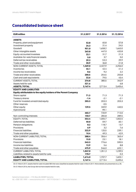| <b>EUR million</b>                                              | 31.3.2017 | 31.3.2016 | 31.12.2016 |
|-----------------------------------------------------------------|-----------|-----------|------------|
| <b>ASSETS</b>                                                   |           |           |            |
| Property, plant and equipment                                   | 52.8      | 65.8      | 57.8       |
| Investment property                                             | 24.3      | 31.4      | 24.5       |
| Goodwill                                                        | 951.0     | 1,658.2   | 1,663.0    |
| Other intangible assets                                         | 263.8     | 447.0     | 432.8      |
| Equity-accounted investees                                      | 22.1      | 31.7      | 21.3       |
| Available-for-sale financial assets                             | 5.0       | 3.7       | 5.0        |
| Deferred tax receivables                                        | 29.2      | 53.3      | 29.9       |
| Trade and other receivables                                     | 20.9      | 36.8      | 21.8       |
| NON-CURRENT ASSETS, TOTAL                                       | 1,369.0   | 2,327.9   | 2,256.0    |
| Inventories                                                     | 45.1      | 42.4      | 41.4       |
| Income tax receivables                                          | 8.6       | 9.2       | 2.2        |
| Trade and other receivables                                     | 200.5     | 254.5     | 255.8      |
| Cash and cash equivalents                                       | 22.6      | 79.5      | 43.4       |
| <b>CURRENT ASSETS, TOTAL</b>                                    | 276.8     | 385.5     | 342.9      |
| Assets held for sale                                            | 521.6     |           | 6.8        |
| <b>ASSETS, TOTAL</b>                                            | 2,167.4   | 2,713.4   | 2,605.6    |
| <b>EQUITY AND LIABILITIES</b>                                   |           |           |            |
| Equity attributable to the equity holders of the Parent Company |           |           |            |
| Share capital                                                   | 71.3      | 71.3      | 71.3       |
| Treasury shares                                                 | $-1.4$    | $-2.1$    | $-2.1$     |
| Fund for invested unrestricted equity                           | 203.3     | 203.3     | 203.3      |
| Other reserves                                                  |           | $-0.5$    |            |
| Other equity                                                    | 129.5     | 349.9     | 440.5      |
| Hybrid bond                                                     |           | 99.1      |            |
|                                                                 | 402.7     | 720.9     | 713.0      |
| Non-controlling interests                                       | 150.7     | 284.8     | 289.5      |
| EQUITY, TOTAL                                                   | 553.4     | 1,005.7   | 1,002.5    |
| Deferred tax liabilities                                        | 40.0      | 59.7      | 60.1       |
| Pension obligations                                             | 8.2       | 118.7     | 13.7       |
| Provisions                                                      | 6.9       | 3.2       | 7.6        |
| <b>Financial liabilities</b>                                    | 322.9     | 125.5     | 239.1      |
| Trade and other payables                                        | 10.4      | 49.3      | 42.9       |
| NON-CURRENT LIABILITIES, TOTAL                                  | 388.4     | 356.4     | 363.4      |
| Provisions                                                      | 15.0      | 23.1      | 18.1       |
| <b>Financial liabilities</b>                                    | 543.3     | 776.6     | 590.5      |
| Income tax liabilities                                          | 12.9      | 5.6       | 8.8        |
| Trade and other payables                                        | 475.9     | 546.0     | 622.1      |
| <b>CURRENT LIABILITIES, TOTAL</b>                               | 1,047.0   | 1,351.3   | 1,239.5    |
| Liabilities related to assets held for sale                     | 178.7     |           | 0.3        |
| <b>LIABILITIES, TOTAL</b>                                       | 1,614.0   | 1,707.7   | 1,603.1    |
| <b>EQUITY AND LIABILITIES, TOTAL</b>                            | 2,167.4   | 2,713.4   | 2,605.6    |

On 31 March 2017, assets held for sale included SBS that was classified as assets held for sale in March 2017. More details are presented on p. 28. On 31 March 2016, the Group did not have assets held for sale.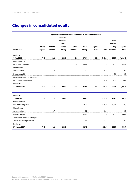## **Changes in consolidated equity**

|                                |              |                 |                 | Equity attributable to the equity holders of the Parent Company |          |               |          |           |          |
|--------------------------------|--------------|-----------------|-----------------|-----------------------------------------------------------------|----------|---------------|----------|-----------|----------|
|                                |              |                 | <b>Fund for</b> |                                                                 |          |               |          |           |          |
|                                |              |                 | invested        |                                                                 |          |               |          | Non-      |          |
|                                |              |                 | unres-          |                                                                 |          |               |          | control-  |          |
|                                | <b>Share</b> | <b>Treasury</b> | tricted         | Other                                                           | Other    | <b>Hybrid</b> |          | ling      | Equity,  |
| <b>EUR million</b>             | capital      | shares          | equity          | reserves                                                        | equity   | bond          | Total    | interests | total    |
| <b>Equity</b> at               |              |                 |                 |                                                                 |          |               |          |           |          |
| 1 Jan 2016                     | 71.3         | $-3.2$          | 203.3           | $-0.5$                                                          | 373.4    | 99.1          | 743.4    | 285.7     | 1,029.1  |
| Comprehensive                  |              |                 |                 |                                                                 |          |               |          |           |          |
| income for the period          |              |                 |                 | 0.0                                                             | $-22.8$  |               | $-22.8$  | $-0.1$    | $-22.9$  |
| Share-based                    |              |                 |                 |                                                                 |          |               |          |           |          |
| compensation                   |              | 1.0             |                 |                                                                 | $-0.7$   |               | 0.3      |           | 0.3      |
| Dividends paid                 |              |                 |                 |                                                                 |          |               |          | $-0.5$    | $-0.5$   |
| Acquisitions and other changes |              |                 |                 |                                                                 |          |               |          |           |          |
| in non-controlling interests   |              |                 |                 |                                                                 | 0.0      |               | 0.0      | $-0.3$    | $-0.3$   |
| <b>Equity</b> at               |              |                 |                 |                                                                 |          |               |          |           |          |
| 31 March 2016                  | 71.3         | $-2.1$          | 203.3           | $-0.5$                                                          | 349.9    | 99.1          | 720.9    | 284.8     | 1,005.7  |
| <b>Equity at</b>               |              |                 |                 |                                                                 |          |               |          |           |          |
| 1 Jan 2017                     | 71.3         | $-2.1$          | 203.3           |                                                                 | 440.5    |               | 713.0    | 289.5     | 1,002.5  |
| Comprehensive                  |              |                 |                 |                                                                 |          |               |          |           |          |
| income for the period          |              |                 |                 |                                                                 | $-275.9$ |               | $-275.9$ | $-137.9$  | $-413.8$ |
| Share-based                    |              |                 |                 |                                                                 |          |               |          |           |          |
| compensation                   |              | 0.7             |                 |                                                                 | $-0.2$   |               | 0.5      |           | 0.5      |
| Dividends paid                 |              |                 |                 |                                                                 | $-32.6$  |               | $-32.6$  | $-0.5$    | $-33.1$  |
| Acquisitions and other changes |              |                 |                 |                                                                 |          |               |          |           |          |
| in non-controlling interests   |              |                 |                 |                                                                 | $-2.4$   |               | $-2.4$   | $-0.4$    | $-2.7$   |
| <b>Equity</b> at               |              |                 |                 |                                                                 |          |               |          |           |          |
| 31 March 2017                  | 71.3         | $-1.4$          | 203.3           |                                                                 | 129.5    |               | 402.7    | 150.7     | 553.4    |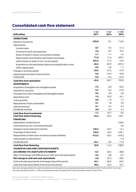## **Consolidated cash flow statement**

| <b>EUR million</b>                                               | $1 - 3/$<br>2017 | $1 - 3/$<br>2016 | $1 - 12/$<br>2016 |
|------------------------------------------------------------------|------------------|------------------|-------------------|
| <b>OPERATIONS</b>                                                |                  |                  |                   |
| Result for the period                                            | $-423.0$         | $-0.1$           | 116.0             |
| Adjustments                                                      |                  |                  |                   |
| Income taxes                                                     | 0.7              | $-5.4$           | 41.2              |
| Financial income and expenses                                    | 6.6              | 8.7              | 37.0              |
| Share of results in equity-accounted investees                   | $-1.1$           | $-1.1$           | 2.4               |
| Depreciation, amortisation and impairment losses                 | 71.0             | 71.6             | 299.7             |
| Gains/losses on sales of non-current assets                      | 423.3            | $-17.4$          | $-19.5$           |
| Acquisitions of broadcasting rights and prepublication costs     | $-65.3$          | $-55.9$          | $-207.2$          |
| Other adjustments                                                | 0.2              | 0.4              | 1.1               |
| Change in working capital                                        | $-39.6$          | $-31.5$          | $-47.9$           |
| Interest paid and other financial items                          | $-9.6$           | $-19.9$          | $-45.8$           |
| Taxes paid                                                       | $-5.5$           | $-6.2$           | $-23.4$           |
| <b>Cash flow from operations</b>                                 | $-42.4$          | $-56.7$          | 153.5             |
| <b>INVESTMENTS</b>                                               |                  |                  |                   |
| Acquisition of tangible and intangible assets                    | $-7.5$           | $-5.8$           | $-34.5$           |
| Operations acquired                                              | $-2.3$           | $-0.2$           | $-21.8$           |
| Proceeds from sale of tangible and intangible assets             | 0.5              | 0.9              | 3.0               |
| Operations sold                                                  | 7.5              | 39.3             | 43.1              |
| Loans granted                                                    | 0.0              | $-1.5$           | $-1.7$            |
| Repayments of loan receivables                                   | 0.1              | 1.8              | 3.5               |
| Interest received                                                | 0.1              | 0.2              | 0.4               |
| Dividends received                                               | 0.0              | 0.0              | 4.7               |
| <b>Cash flow from investments</b>                                | $-1.7$           | 34.7             | $-3.4$            |
| <b>Cash flow before financing</b>                                | $-44.2$          | $-22.0$          | 150.1             |
| <b>FINANCING</b>                                                 |                  |                  |                   |
| Redemption of hybrid bond                                        |                  |                  | $-100.0$          |
| Contribution by non-controlling interests                        |                  |                  | 0.0               |
| Change in loans with short maturity                              | 159.4            | $-33.7$          | 14.1              |
| Drawings of other loans                                          | 125.0            | 40.0             | 240.1             |
| Repayments of other loans and finance lease liabilities          | $-212.3$         | $-20.2$          | $-318.2$          |
| Interest paid on hybrid bond                                     |                  |                  | $-7.3$            |
| Dividends paid                                                   | $-33.1$          | $-0.5$           | $-17.6$           |
| <b>Cash flow from financing</b>                                  | 39.0             | $-14.4$          | $-188.9$          |
| <b>CHANGE IN CASH AND CASH EQUIVALENTS</b>                       |                  |                  |                   |
| <b>ACCORDING TO CASH FLOW STATEMENT</b>                          | $-5.2$           | $-36.4$          | $-38.8$           |
| Effect of exchange rate differences on cash and cash equivalents | 0.4              | $-0.8$           | $-0.7$            |
| Net change in cash and cash equivalents                          | $-4.8$           | $-37.2$          | $-39.5$           |
| Cash and cash equivalents at the beginning of the period         | 43.1             | 82.5             | 82.5              |
| Cash and cash equivalents at the end of the period               | 38.2             | 45.3             | 43.1              |

Cash and cash equivalents in the cash flow statement include cash and cash equivalents less bank overdrafts of EUR 5.7 million (2016: 34.2). Cash and cash equivalents of EUR 21.4 million are presented as part of assets held for sale in the balance sheet 31 March 2017.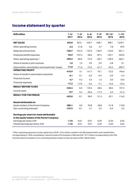## **Income statement by quarter**

| <b>EUR million</b>                                                                         | $1 - 3/$<br>2017 | $1 - 3/$<br>2016 | $4 - 6/$<br>2016 | $7 - 9/$<br>2016 | $10 - 12/$<br>2016 | $1 - 12/$<br>2016 |
|--------------------------------------------------------------------------------------------|------------------|------------------|------------------|------------------|--------------------|-------------------|
| <b>NET SALES</b>                                                                           | 343.8            | 353.1            | 449.7            | 438.1            | 398.1              | 1,639.1           |
| Other operating income                                                                     | 6.2              | 21.8             | 5.6              | 4.7              | 7.8                | 39.9              |
| Materials and services                                                                     | $-103.7$         | $-104.3$         | $-137.0$         | $-136.9$         | $-123.0$           | $-501.1$          |
| Employee benefit expenses                                                                  | $-92.9$          | $-107.4$         | $-28.6$          | $-87.4$          | $-102.1$           | $-325.5$          |
| Other operating expenses *                                                                 | $-499.3$         | $-89.5$          | $-74.9$          | $-82.7$          | $-109.0$           | $-356.1$          |
| Share of results in joint ventures                                                         | 1.0              | 1.0              | 0.9              | 0.9              | $-2.8$             | 0.1               |
| Depreciation, amortisation and impairment losses                                           | $-71.0$          | $-71.6$          | $-74.2$          | $-61.7$          | $-92.2$            | $-299.7$          |
| <b>OPERATING PROFIT</b>                                                                    | $-415.9$         | 3.1              | 141.7            | 75.1             | $-23.2$            | 196.6             |
| Share of results in associated companies                                                   | 0.1              | 0.1              | $-0.2$           | $-0.4$           | $-2.0$             | $-2.4$            |
| Financial income                                                                           | 4.7              | 9.2              | 0.4              | 1.0              | 0.0                | 10.5              |
| <b>Financial expenses</b>                                                                  | $-11.3$          | $-17.9$          | $-9.4$           | $-7.1$           | $-13.2$            | $-47.5$           |
| <b>RESULT BEFORE TAXES</b>                                                                 | $-422.4$         | $-5.5$           | 132.5            | 68.6             | $-38.4$            | 157.2             |
| Income taxes                                                                               | $-0.7$           | 5.4              | $-35.6$          | $-17.3$          | 6.3                | $-41.2$           |
| <b>RESULT FOR THE PERIOD</b>                                                               | $-423.0$         | $-0.1$           | 96.9             | 51.3             | $-32.1$            | 116.0             |
| <b>Result attributable to:</b>                                                             |                  |                  |                  |                  |                    |                   |
| Equity holders of the Parent Company                                                       | $-285.1$         | 0.0              | 93.8             | 48.8             | $-31.8$            | 110.8             |
| Non-controlling interests*                                                                 | $-137.9$         | $-0.1$           | 3.1              | 2.5              | $-0.3$             | 5.2               |
| Earnings per share for result attributable<br>to the equity holders of the Parent Company: |                  |                  |                  |                  |                    |                   |
| Earnings per share, EUR                                                                    | $-1.76$          | $-0.01$          | 0.57             | 0.29             | $-0.20$            | 0.65              |
| Diluted earnings per share, EUR                                                            | $-1.76$          | $-0.01$          | 0.57             | 0.29             | $-0.20$            | 0.65              |

\* Other operating expenses include capital loss of EUR -424.6 million related to the SBS assets held for sale classification, corresponding to 100% consolidation. Sanoma holds 67% of shares in SBS and EUR 137.7 million corresponding to the 33% minority share is included in non-controlling interest. Impact on the net result is EUR -286.8 million.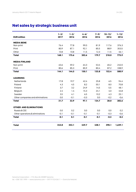## **Net sales by strategic business unit**

| <b>EUR million</b>               | $1 - 3/$<br>2017 | $1 - 3/$<br>2016 | $4 - 6/$<br>2016 | $7 - 9/$<br>2016 | $10 - 12/$<br>2016 | $1 - 12/$<br>2016 |
|----------------------------------|------------------|------------------|------------------|------------------|--------------------|-------------------|
| <b>MEDIA BENE</b>                |                  |                  |                  |                  |                    |                   |
| Non-print                        | 76.4             | 77.8             | 99.0             | 81.9             | 117.6              | 376.3             |
| Print                            | 80.9             | 87.1             | 92.1             | 85.5             | 88.9               | 353.5             |
| Other                            | 10.8             | 10.8             | 11.5             | 12.3             | 11.5               | 46.1              |
| <b>Total</b>                     | 168.1            | 175.6            | 202.6            | 179.7            | 218.0              | 775.9             |
| <b>MEDIA FINLAND</b>             |                  |                  |                  |                  |                    |                   |
| Non-print                        | 63.6             | 59.2             | 64.3             | 53.4             | 65.2               | 242.0             |
| Print                            | 80.6             | 85.3             | 85.9             | 80.4             | 87.2               | 338.9             |
| <b>Total</b>                     | 144.1            | 144.5            | 150.1            | 133.8            | 152.4              | 580.9             |
| <b>LEARNING</b>                  |                  |                  |                  |                  |                    |                   |
| Netherlands                      | 17.8             | 19.7             | 42.4             | 25.8             | 6.5                | 94.4              |
| Poland                           | 4.3              | 4.5              | 8.2              | 50.1             | 8.0                | 70.8              |
| Finland                          | 3.7              | 3.2              | 24.9             | 14.5             | 5.5                | 48.1              |
| Belgium                          | 2.4              | 1.4              | 15.3             | 24.1             | 4.0                | 44.8              |
| Sweden                           | 3.5              | 4.1              | 6.5              | 10.2             | 4.3                | 25.1              |
| Other companies and eliminations | 0.0              | $-0.1$           | $-0.3$           | 0.0              | $-0.2$             | $-0.6$            |
| <b>Total</b>                     | 31.7             | 32.9             | 97.1             | 124.7            | 28.0               | 282.6             |
| <b>OTHER AND ELIMINATIONS</b>    |                  |                  |                  |                  |                    |                   |
| Russia & CEE                     | 0.0              | 0.2              | 0.0              | 0.0              | 0.0                | 0.2               |
| Other operations & eliminations  | $-0.1$           | $-0.1$           | $-0.1$           | $-0.1$           | $-0.3$             | $-0.6$            |
| <b>Total</b>                     | $-0.1$           | 0.1              | $-0.1$           | $-0.1$           | $-0.3$             | $-0.3$            |
| <b>Total</b>                     | 343.8            | 353.1            | 449.7            | 438.1            | 398.1              | 1,639.1           |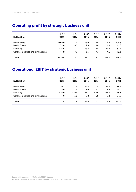| <b>EUR million</b>               | $1 - 3/$ | $1 - 3/$ | $4 - 6/$ | $7 - 9/$ | $10 - 12/$ | $1 - 12/$ |
|----------------------------------|----------|----------|----------|----------|------------|-----------|
|                                  | 2017     | 2016     | 2016     | 2016     | 2016       | 2016      |
| Media BeNe                       | $-408.0$ | 11.4     | 53.9     | 24.0     | 11.2       | 100.6     |
| Media Finland                    | 19.6     | 10.1     | 17.5     | 9.6      | 4.0        | 41.3      |
| Learning                         | $-15.5$  | $-11.1$  | 63.8     | 48.8     | $-34.0$    | 67.4      |
| Other companies and eliminations | $-11.8$  | $-7.3$   | 6.5      | $-7.3$   | $-4.4$     | $-12.6$   |
| <b>Total</b>                     | $-415.9$ | 3.1      | 141.7    | 75.1     | $-23.2$    | 196.6     |

## **Operating profit by strategic business unit**

## **Operational EBIT by strategic business unit**

| <b>EUR million</b>               | $1 - 3/$ | $1 - 3/$ | $4 - 6/$ | $7 - 9/$ | 10–12/  | $1 - 12/$ |
|----------------------------------|----------|----------|----------|----------|---------|-----------|
|                                  | 2017     | 2016     | 2016     | 2016     | 2016    | 2016      |
| Media BeNe                       | 9.3      | 7.4      | 29.6     | 21.8     | 26.8    | 85.6      |
| Media Finland                    | 19.0     | 11.0     | 19.0     | 10.2     | 9.3     | 49.5      |
| Learning                         | $-15.0$  | $-10.9$  | 41.1     | 50.5     | $-23.8$ | 56.8      |
| Other companies and eliminations | $-1.9$   | $-5.6$   | $-2.8$   | $-4.8$   | $-10.8$ | $-24.0$   |
| <b>Total</b>                     | 11.4     | 1.9      | 86.9     | 77.7     | 1.4     | 167.9     |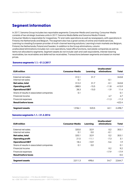## **Segment information**

In 2017, Sanoma Group includes two reportable segments: Consumer Media and Learning. Consumer Media consists of two strategic business units in 2017: Sanoma Media BeNe and Sanoma Media Finland. Consumer Media is responsible for magazines, TV and radio operations as well as newspapers, with operations in Finland, the Netherlands and Belgium. The segment also has a great variety of online and mobile services. Learning is a leading European provider of multi-channel learning solutions. Learning's main markets are Belgium, Finland, the Netherlands, Poland and Sweden. In addition to the Group eliminations, column unallocated/eliminations includes non-core operations, head office functions, real estate companies as well as items not allocated to segments. Segment assets do not include cash and cash equivalents, interest-bearing receivables, tax receivables and deferred tax receivables. Transactions between segments are based on market prices.

#### **Sanoma segments 1.1.–31.3.2017**

| <b>EUR million</b>                       | <b>Consumer Media</b> | Learning | Unallocated/<br>eliminations | Total    |
|------------------------------------------|-----------------------|----------|------------------------------|----------|
| External net sales                       | 312.1                 | 31.7     |                              | 343.8    |
| Internal net sales                       | 0.1                   |          | $-0.1$                       |          |
| Net sales, total                         | 312.2                 | 31.7     | $-0.1$                       | 343.8    |
| <b>Operating profit</b>                  | $-388.5$              | $-15.5$  | $-11.8$                      | $-415.9$ |
| <b>Operational EBIT</b>                  | 28.3                  | $-15.0$  | $-1.9$                       | 11.4     |
| Share of results in associated companies | 0.1                   |          |                              | 0.1      |
| Financial income                         |                       |          | 4.7                          | 4.7      |
| Financial expenses                       |                       |          | $-11.3$                      | $-11.3$  |
| <b>Result before taxes</b>               |                       |          |                              | $-422.4$ |
| Segment assets                           | 1.936.1               | 520.5    | 42.1                         | 2.498.7  |

#### **Sanoma segments 1.1.–31.3.2016**

| <b>EUR million</b>                       | <b>Consumer Media</b> | Learning | Unallocated/<br>eliminations | Total   |
|------------------------------------------|-----------------------|----------|------------------------------|---------|
| External net sales                       | 320.0                 | 32.9     | 0.2                          | 353.1   |
| Internal net sales                       | 0.1                   | 0.0      | $-0.1$                       |         |
| Net sales, total                         | 320.1                 | 32.9     | 0.2                          | 353.1   |
| <b>Operating profit</b>                  | 21.5                  | $-11.1$  | $-7.3$                       | 3.1     |
| <b>Operational EBIT</b>                  | 18.4                  | $-10.9$  | $-5.6$                       | 1.9     |
| Share of results in associated companies | 0.1                   | 0.0      |                              | 0.1     |
| Financial income                         |                       |          | 9.2                          | 9.2     |
| Financial expenses                       |                       |          | $-17.9$                      | $-17.9$ |
| <b>Result before taxes</b>               |                       |          |                              | $-5.5$  |
| Segment assets                           | 2,011.3               | 498.6    | 54.7                         | 2,564.7 |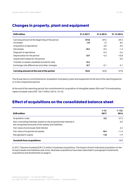| <b>EUR million</b>                             | 31.3.2017 | 31.3.2016 | 31.12.2016 |
|------------------------------------------------|-----------|-----------|------------|
| Carrying amount at the beginning of the period | 57.8      | 69.4      | 69.4       |
| Increases                                      | 1.0       | 1.6       | 8.4        |
| Acquisition of operations                      |           | 0.0       | 0.5        |
| Decreases                                      | $-0.3$    | $-0.5$    | $-1.3$     |
| Disposal of operations                         |           | $-0.4$    | $-2.6$     |
| Depreciation for the period                    | -3.9      | $-4.3$    | $-16.8$    |
| Impairment losses for the period               |           |           | 0.0        |
| Transfer to assets classified as held for sale | $-2.4$    |           |            |
| Exchange rate differences and other changes    | 0.7       | -0.1      | 0.1        |
| Carrying amount at the end of the period       | 52.8      | 65.8      | 57.8       |

## **Changes in property, plant and equipment**

The Group had no commitments for acquisition of property, plant and equipment at the end of the reporting period or in the comparative period.

At the end of the reporting period, the commitments for acquisition of intangible assets (film and TV broadcasting rights included) were EUR 136.7 million (2016: 161.0).

## **Effect of acquisitions on the consolidated balance sheet**

| <b>EUR million</b>                                                                                                        | $1 - 3/$<br>2017 | $1 - 12/$<br>2016 |
|---------------------------------------------------------------------------------------------------------------------------|------------------|-------------------|
| Acquisition costs                                                                                                         | 2.2              | 27.2              |
| Non-controlling interests, based on the proportionate interest in<br>the recognised amounts of the assets and liabilities |                  | 0.0               |
| Fair value of previously held interest                                                                                    |                  | 2.2               |
| Fair value of acquired net assets                                                                                         | $-0.4$           | $-11.6$           |
| Recognised in equity                                                                                                      | $-1.8$           | $-1.9$            |
| <b>Goodwill from acquisitions</b>                                                                                         |                  | 15.9              |

In 2017, Sanoma invested EUR 2.2 million in business acquisitions. The impact of each individual acquisition on the Group's assets and liabilities was minor. Business acquisitions have been described in paragraph Investments, acquisitions and divestments on page 6.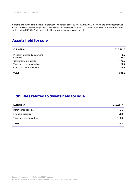Sanoma announced the divestment of Dutch TV operations of SBS on 10 April 2017. Following the announcement, all assets and liabilities relating to SBS are classified as assets held for sale in accordance with IFRS5. Value of SBS was written off by EUR 424.6 million to reflect the lower fair value less cost to sell.

## **Assets held for sale**

| <b>EUR million</b>                        | 31.3.2017    |
|-------------------------------------------|--------------|
| Property, plant and equipment<br>Goodwill | 2.4<br>298.1 |
| Other intangible assets                   | 175.4        |
| Trade and other receivables               | 24.3         |
| Cash and cash equivalents                 | 21.4         |
| <b>Total</b>                              | 521.6        |

## **Liabilities related to assets held for sale**

| <b>EUR million</b>           | 31.3.2017 |
|------------------------------|-----------|
| Deferred tax liabilities     | 18.6      |
| <b>Financial liabilities</b> | 42.0      |
| Trade and other payables     | 118.0     |
| <b>Total</b>                 | 178.7     |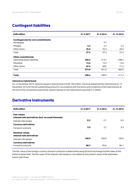## **Contingent liabilities**

| <b>EUR million</b>                       | 31.3.2017 | 31.3.2016 | 31.12.2016 |
|------------------------------------------|-----------|-----------|------------|
| <b>Contingencies for own commitments</b> |           |           |            |
| Mortgages                                |           | 9.7       |            |
| Pledges                                  | 2.4       | 2.4       | 2.4        |
| Other items                              | 25.0      | 25.3      | 25.0       |
| Total                                    | 27.4      | 37.4      | 27.4       |
| <b>Other commitments</b>                 |           |           |            |
| Operating lease liabilities              | 290.9     | 313.7     | 298.2      |
| Royalties                                | 12.6      | 19.3      | 14.6       |
| Other items                              | 69.4      | 68.5      | 71.2       |
| Total                                    | 373.0     | 401.5     | 384.0      |
| <b>Total</b>                             | 400.4     | 438.9     | 411.4      |

#### **Interest on hybrid bond**

On 12 December 2013, Sanoma issued a hybrid bond of EUR 100 million. Sanoma redeemed the hybrid bond on 12 December 2016 for the full outstanding amount in accordance with the terms and conditions of the hybrid bond. At the end of the comparative period the unpaid interest on the hybrid bond was EUR 2.2 million.

## **Derivative instruments**

| <b>EUR million</b>                                                        | 31.3.2017 | 31.3.2016 | 31.12.2016 |
|---------------------------------------------------------------------------|-----------|-----------|------------|
| <b>Fair values</b><br>Interest rate derivatives (incl. accrued interests) |           |           |            |
| Interest rate swaps                                                       | $-0.3$    | $-2.1$    | $-0.4$     |
| <b>Currency derivatives</b>                                               |           |           |            |
| Forward contracts                                                         | 3.0       | 2.7       | 6.3        |
| <b>Nominal values</b><br>Interest rate derivatives                        |           |           |            |
| Interest rate swaps                                                       | 100.0     | 200.0     | 100.0      |
| <b>Currency derivatives</b><br>Forward contracts                          | 80.7      | 95.6      | 82.1       |

The fair value of the foreign currency forward contracts is determined using forward exchange market rates at the balance sheet date. The fair value of the interest rate swaps is calculated as the present value of the estimated future cash flows.